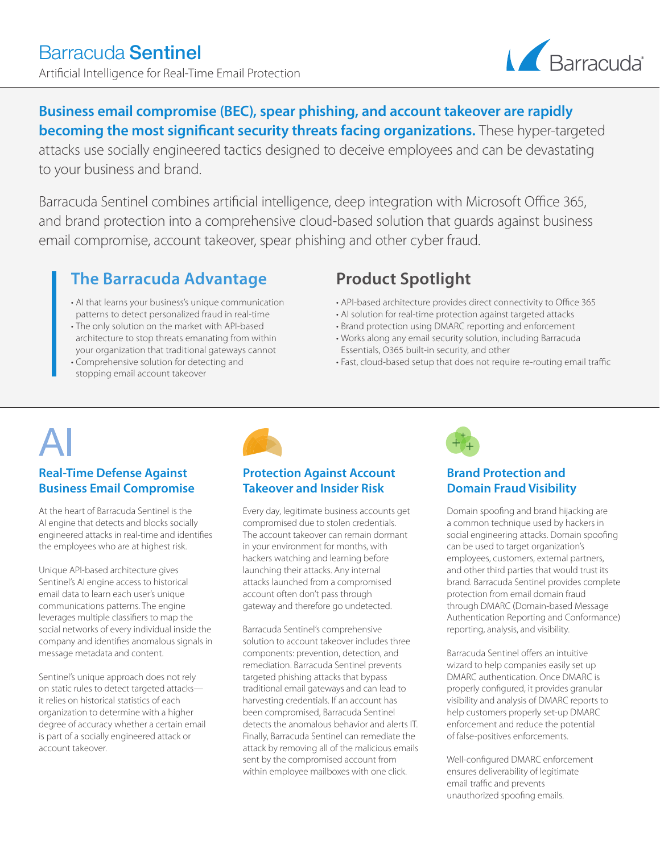

**Business email compromise (BEC), spear phishing, and account takeover are rapidly becoming the most significant security threats facing organizations.** These hyper-targeted attacks use socially engineered tactics designed to deceive employees and can be devastating to your business and brand.

Barracuda Sentinel combines artificial intelligence, deep integration with Microsoft Office 365, and brand protection into a comprehensive cloud-based solution that guards against business email compromise, account takeover, spear phishing and other cyber fraud.

## **The Barracuda Advantage**

- AI that learns your business's unique communication patterns to detect personalized fraud in real-time
- The only solution on the market with API-based architecture to stop threats emanating from within your organization that traditional gateways cannot
- Comprehensive solution for detecting and stopping email account takeover

# **Product Spotlight**

- API-based architecture provides direct connectivity to Office 365
- AI solution for real-time protection against targeted attacks
- Brand protection using DMARC reporting and enforcement
- Works along any email security solution, including Barracuda Essentials, O365 built-in security, and other
- Fast, cloud-based setup that does not require re-routing email traffic

# **Real-Time Defense Against Business Email Compromise**

At the heart of Barracuda Sentinel is the AI engine that detects and blocks socially engineered attacks in real-time and identifies the employees who are at highest risk.

Unique API-based architecture gives Sentinel's AI engine access to historical email data to learn each user's unique communications patterns. The engine leverages multiple classifiers to map the social networks of every individual inside the company and identifies anomalous signals in message metadata and content.

Sentinel's unique approach does not rely on static rules to detect targeted attacks it relies on historical statistics of each organization to determine with a higher degree of accuracy whether a certain email is part of a socially engineered attack or account takeover.



### **Protection Against Account Takeover and Insider Risk**

Every day, legitimate business accounts get compromised due to stolen credentials. The account takeover can remain dormant in your environment for months, with hackers watching and learning before launching their attacks. Any internal attacks launched from a compromised account often don't pass through gateway and therefore go undetected.

Barracuda Sentinel's comprehensive solution to account takeover includes three components: prevention, detection, and remediation. Barracuda Sentinel prevents targeted phishing attacks that bypass traditional email gateways and can lead to harvesting credentials. If an account has been compromised, Barracuda Sentinel detects the anomalous behavior and alerts IT. Finally, Barracuda Sentinel can remediate the attack by removing all of the malicious emails sent by the compromised account from within employee mailboxes with one click.



## **Brand Protection and Domain Fraud Visibility**

Domain spoofing and brand hijacking are a common technique used by hackers in social engineering attacks. Domain spoofing can be used to target organization's employees, customers, external partners, and other third parties that would trust its brand. Barracuda Sentinel provides complete protection from email domain fraud through DMARC (Domain-based Message Authentication Reporting and Conformance) reporting, analysis, and visibility.

Barracuda Sentinel offers an intuitive wizard to help companies easily set up DMARC authentication. Once DMARC is properly configured, it provides granular visibility and analysis of DMARC reports to help customers properly set-up DMARC enforcement and reduce the potential of false-positives enforcements.

Well-configured DMARC enforcement ensures deliverability of legitimate email traffic and prevents unauthorized spoofing emails.